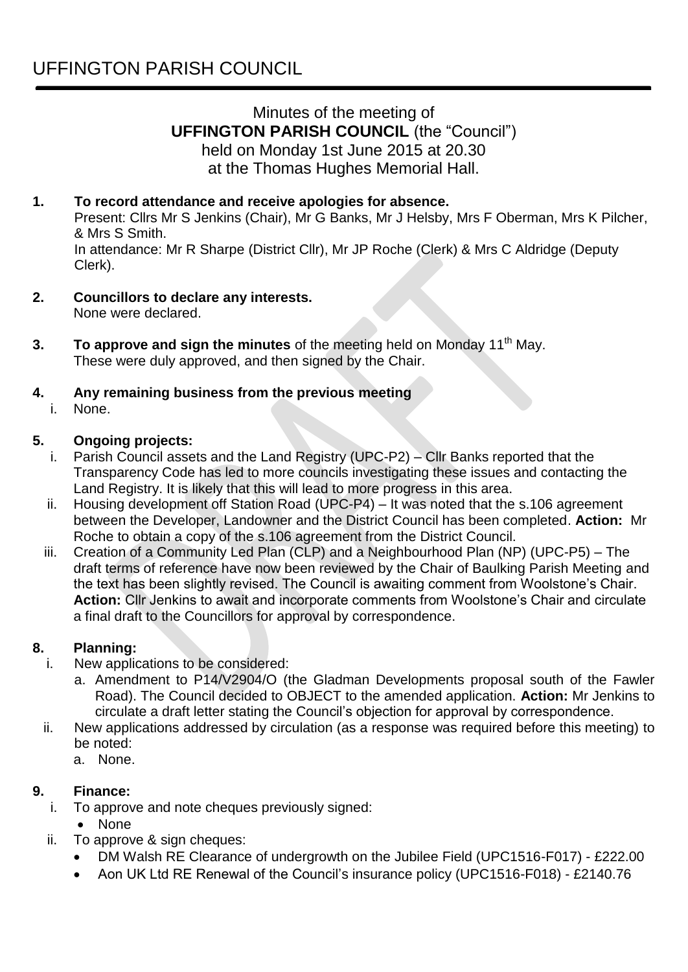# Minutes of the meeting of **UFFINGTON PARISH COUNCIL** (the "Council") held on Monday 1st June 2015 at 20.30 at the Thomas Hughes Memorial Hall.

# **1. To record attendance and receive apologies for absence.**

Present: Cllrs Mr S Jenkins (Chair), Mr G Banks, Mr J Helsby, Mrs F Oberman, Mrs K Pilcher, & Mrs S Smith.

In attendance: Mr R Sharpe (District Cllr), Mr JP Roche (Clerk) & Mrs C Aldridge (Deputy Clerk).

- **2. Councillors to declare any interests.** None were declared.
- **3. To approve and sign the minutes** of the meeting held on Monday 11<sup>th</sup> May. These were duly approved, and then signed by the Chair.

### **4. Any remaining business from the previous meeting**

i. None.

#### **5. Ongoing projects:**

- i. Parish Council assets and the Land Registry (UPC-P2) Cllr Banks reported that the Transparency Code has led to more councils investigating these issues and contacting the Land Registry. It is likely that this will lead to more progress in this area.
- ii. Housing development off Station Road (UPC-P4) It was noted that the s.106 agreement between the Developer, Landowner and the District Council has been completed. **Action:** Mr Roche to obtain a copy of the s.106 agreement from the District Council.
- iii. Creation of a Community Led Plan (CLP) and a Neighbourhood Plan (NP) (UPC-P5) The draft terms of reference have now been reviewed by the Chair of Baulking Parish Meeting and the text has been slightly revised. The Council is awaiting comment from Woolstone's Chair. **Action:** Cllr Jenkins to await and incorporate comments from Woolstone's Chair and circulate a final draft to the Councillors for approval by correspondence.

### **8. Planning:**

- i. New applications to be considered:
	- a. Amendment to P14/V2904/O (the Gladman Developments proposal south of the Fawler Road). The Council decided to OBJECT to the amended application. **Action:** Mr Jenkins to circulate a draft letter stating the Council's objection for approval by correspondence.
- ii. New applications addressed by circulation (as a response was required before this meeting) to be noted:
	- a. None.

### **9. Finance:**

- i. To approve and note cheques previously signed:
	- None
- ii. To approve & sign cheques:
	- DM Walsh RE Clearance of undergrowth on the Jubilee Field (UPC1516-F017) £222.00
	- Aon UK Ltd RE Renewal of the Council's insurance policy (UPC1516-F018) £2140.76